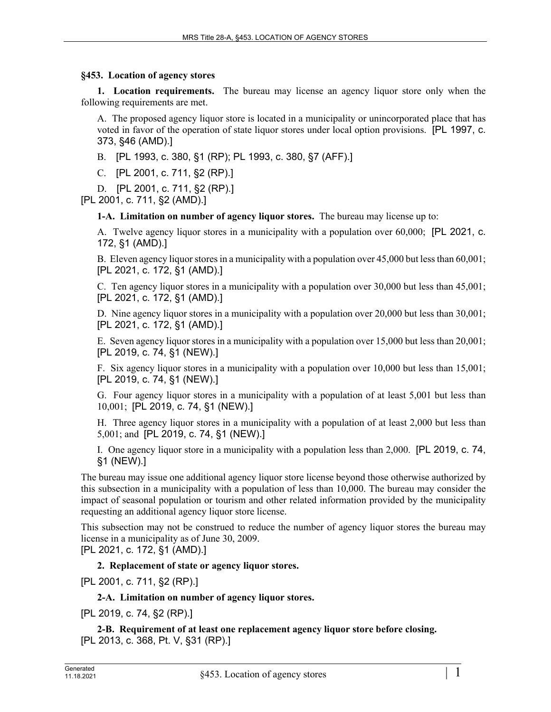## **§453. Location of agency stores**

**1. Location requirements.** The bureau may license an agency liquor store only when the following requirements are met.

A. The proposed agency liquor store is located in a municipality or unincorporated place that has voted in favor of the operation of state liquor stores under local option provisions. [PL 1997, c. 373, §46 (AMD).]

B. [PL 1993, c. 380, §1 (RP); PL 1993, c. 380, §7 (AFF).]

C. [PL 2001, c. 711, §2 (RP).]

D. [PL 2001, c. 711, §2 (RP).]

[PL 2001, c. 711, §2 (AMD).]

**1-A. Limitation on number of agency liquor stores.** The bureau may license up to:

A. Twelve agency liquor stores in a municipality with a population over 60,000; [PL 2021, c. 172, §1 (AMD).]

B. Eleven agency liquor stores in a municipality with a population over 45,000 but less than 60,001; [PL 2021, c. 172, §1 (AMD).]

C. Ten agency liquor stores in a municipality with a population over 30,000 but less than 45,001; [PL 2021, c. 172, §1 (AMD).]

D. Nine agency liquor stores in a municipality with a population over 20,000 but less than 30,001; [PL 2021, c. 172, §1 (AMD).]

E. Seven agency liquor stores in a municipality with a population over 15,000 but less than 20,001; [PL 2019, c. 74, §1 (NEW).]

F. Six agency liquor stores in a municipality with a population over 10,000 but less than 15,001; [PL 2019, c. 74, §1 (NEW).]

G. Four agency liquor stores in a municipality with a population of at least 5,001 but less than 10,001; [PL 2019, c. 74, §1 (NEW).]

H. Three agency liquor stores in a municipality with a population of at least 2,000 but less than 5,001; and [PL 2019, c. 74, §1 (NEW).]

I. One agency liquor store in a municipality with a population less than 2,000. [PL 2019, c. 74, §1 (NEW).]

The bureau may issue one additional agency liquor store license beyond those otherwise authorized by this subsection in a municipality with a population of less than 10,000. The bureau may consider the impact of seasonal population or tourism and other related information provided by the municipality requesting an additional agency liquor store license.

This subsection may not be construed to reduce the number of agency liquor stores the bureau may license in a municipality as of June 30, 2009.

[PL 2021, c. 172, §1 (AMD).]

## **2. Replacement of state or agency liquor stores.**

[PL 2001, c. 711, §2 (RP).]

#### **2-A. Limitation on number of agency liquor stores.**

[PL 2019, c. 74, §2 (RP).]

**2-B. Requirement of at least one replacement agency liquor store before closing.**  [PL 2013, c. 368, Pt. V, §31 (RP).]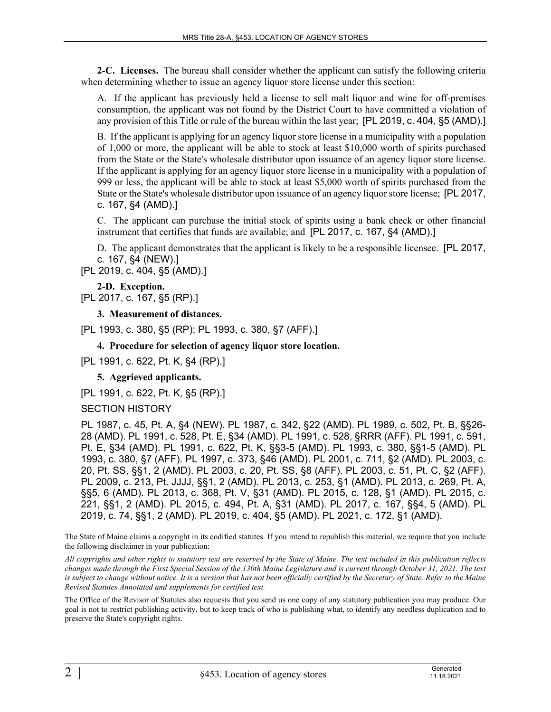**2-C. Licenses.** The bureau shall consider whether the applicant can satisfy the following criteria when determining whether to issue an agency liquor store license under this section:

A. If the applicant has previously held a license to sell malt liquor and wine for off-premises consumption, the applicant was not found by the District Court to have committed a violation of any provision of this Title or rule of the bureau within the last year; [PL 2019, c. 404, §5 (AMD).]

B. If the applicant is applying for an agency liquor store license in a municipality with a population of 1,000 or more, the applicant will be able to stock at least \$10,000 worth of spirits purchased from the State or the State's wholesale distributor upon issuance of an agency liquor store license. If the applicant is applying for an agency liquor store license in a municipality with a population of 999 or less, the applicant will be able to stock at least \$5,000 worth of spirits purchased from the State or the State's wholesale distributor upon issuance of an agency liquor store license; [PL 2017, c. 167, §4 (AMD).]

C. The applicant can purchase the initial stock of spirits using a bank check or other financial instrument that certifies that funds are available; and [PL 2017, c. 167, §4 (AMD).]

D. The applicant demonstrates that the applicant is likely to be a responsible licensee. [PL 2017, c. 167, §4 (NEW).]

[PL 2019, c. 404, §5 (AMD).]

**2-D. Exception.**  [PL 2017, c. 167, §5 (RP).]

**3. Measurement of distances.** 

[PL 1993, c. 380, §5 (RP); PL 1993, c. 380, §7 (AFF).]

# **4. Procedure for selection of agency liquor store location.**

[PL 1991, c. 622, Pt. K, §4 (RP).]

**5. Aggrieved applicants.** 

[PL 1991, c. 622, Pt. K, §5 (RP).]

#### SECTION HISTORY

PL 1987, c. 45, Pt. A, §4 (NEW). PL 1987, c. 342, §22 (AMD). PL 1989, c. 502, Pt. B, §§26- 28 (AMD). PL 1991, c. 528, Pt. E, §34 (AMD). PL 1991, c. 528, §RRR (AFF). PL 1991, c. 591, Pt. E, §34 (AMD). PL 1991, c. 622, Pt. K, §§3-5 (AMD). PL 1993, c. 380, §§1-5 (AMD). PL 1993, c. 380, §7 (AFF). PL 1997, c. 373, §46 (AMD). PL 2001, c. 711, §2 (AMD). PL 2003, c. 20, Pt. SS, §§1, 2 (AMD). PL 2003, c. 20, Pt. SS, §8 (AFF). PL 2003, c. 51, Pt. C, §2 (AFF). PL 2009, c. 213, Pt. JJJJ, §§1, 2 (AMD). PL 2013, c. 253, §1 (AMD). PL 2013, c. 269, Pt. A, §§5, 6 (AMD). PL 2013, c. 368, Pt. V, §31 (AMD). PL 2015, c. 128, §1 (AMD). PL 2015, c. 221, §§1, 2 (AMD). PL 2015, c. 494, Pt. A, §31 (AMD). PL 2017, c. 167, §§4, 5 (AMD). PL 2019, c. 74, §§1, 2 (AMD). PL 2019, c. 404, §5 (AMD). PL 2021, c. 172, §1 (AMD).

The State of Maine claims a copyright in its codified statutes. If you intend to republish this material, we require that you include the following disclaimer in your publication:

*All copyrights and other rights to statutory text are reserved by the State of Maine. The text included in this publication reflects changes made through the First Special Session of the 130th Maine Legislature and is current through October 31, 2021. The text*  is subject to change without notice. It is a version that has not been officially certified by the Secretary of State. Refer to the Maine *Revised Statutes Annotated and supplements for certified text.*

The Office of the Revisor of Statutes also requests that you send us one copy of any statutory publication you may produce. Our goal is not to restrict publishing activity, but to keep track of who is publishing what, to identify any needless duplication and to preserve the State's copyright rights.